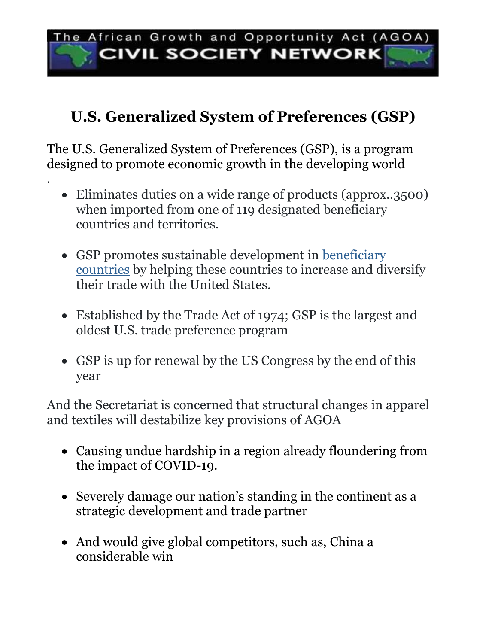The African Growth and Opportunity Act (AGOA **CIVIL SOCIETY NETWORK** 

## **U.S. Generalized System of Preferences (GSP)**

The U.S. Generalized System of Preferences (GSP), is a program designed to promote economic growth in the developing world

.

- Eliminates duties on a wide range of products (approx..3500) when imported from one of 119 designated beneficiary countries and territories.
- GSP promotes sustainable development in [beneficiary](https://ustr.gov/sites/default/files/IssueAreas/gsp/GSP_Guidebook-December_2019.pdf#page=14)  [countries](https://ustr.gov/sites/default/files/IssueAreas/gsp/GSP_Guidebook-December_2019.pdf#page=14) by helping these countries to increase and diversify their trade with the United States.
- Established by the Trade Act of 1974; GSP is the largest and oldest U.S. trade preference program
- GSP is up for renewal by the US Congress by the end of this year

And the Secretariat is concerned that structural changes in apparel and textiles will destabilize key provisions of AGOA

- Causing undue hardship in a region already floundering from the impact of COVID-19.
- Severely damage our nation's standing in the continent as a strategic development and trade partner
- And would give global competitors, such as, China a considerable win